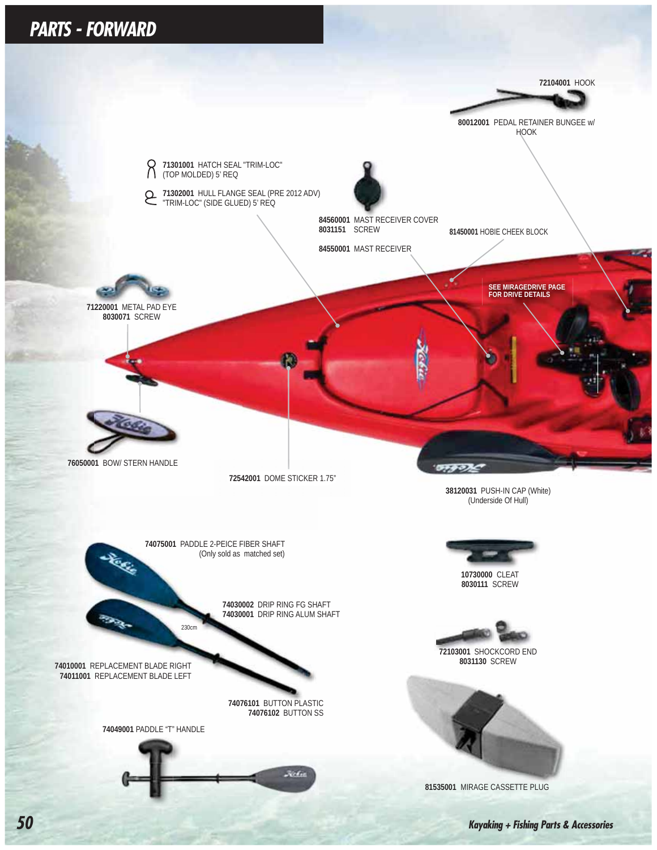### *PARTS - FORWARD*

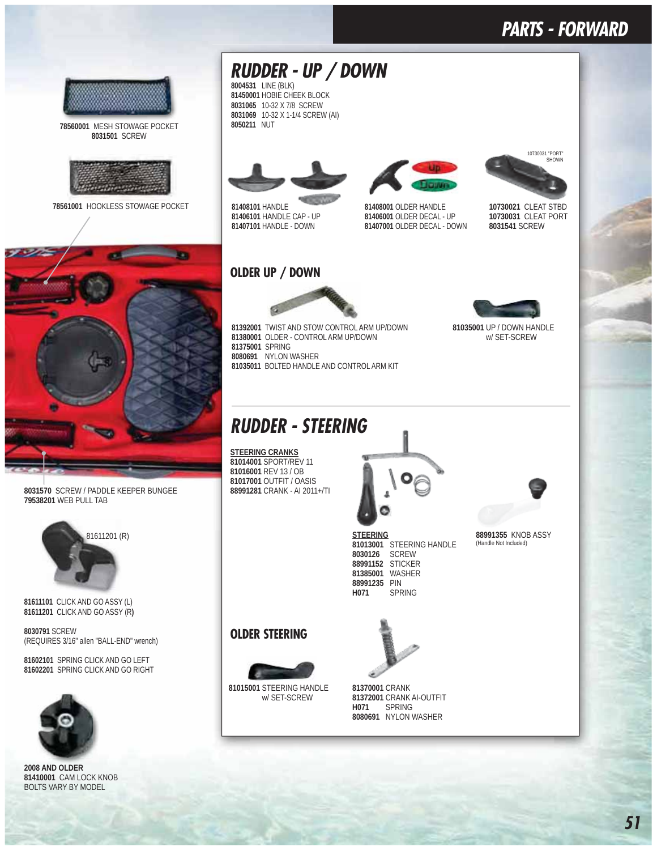### *PARTS - FORWARD*



 MESH STOWAGE POCKET SCREW



HOOKLESS STOWAGE POCKET



 SCREW / PADDLE KEEPER BUNGEE WEB PULL TAB



CLICK AND GO ASSY (L) CLICK AND GO ASSY (R**)**

 SCREW (REQUIRES 3/16" allen "BALL-END" wrench)

 SPRING CLICK AND GO LEFT SPRING CLICK AND GO RIGHT



**2008 AND OLDER** CAM LOCK KNOB BOLTS VARY BY MODEL



 HOBIE CHEEK BLOCK 10-32 X 7/8 SCREW 10-32 X 1-1/4 SCREW (AI) NUT



 HANDLE HANDLE CAP - UP HANDLE - DOWN



 OLDER HANDLE OLDER DECAL - UP OLDER DECAL - DOWN



 CLEAT STBD CLEAT PORT SCREW

 UP / DOWN HANDLE w/ SET-SCREW



81392001 TWIST AND STOW CONTROL ARM UP/DOWN OLDER - CONTROL ARM UP/DOWN SPRING NYLON WASHER BOLTED HANDLE AND CONTROL ARM KIT

### *RUDDER - STEERING*

**STEERING CRANKS** SPORT/REV 11 REV 13 / OB OUTFIT / OASIS CRANK - AI 2011+/TI



**STEERING 81013001** STEERING HANDLE<br>8030126 SCREW SCREW STICKER WASHER PIN SPRING

### KNOB ASSY (Handle Not Included)

**OLDER STEERING**



 STEERING HANDLE w/ SET-SCREW



 CRANK CRANK AI-OUTFIT **H071** SPRING NYLON WASHER

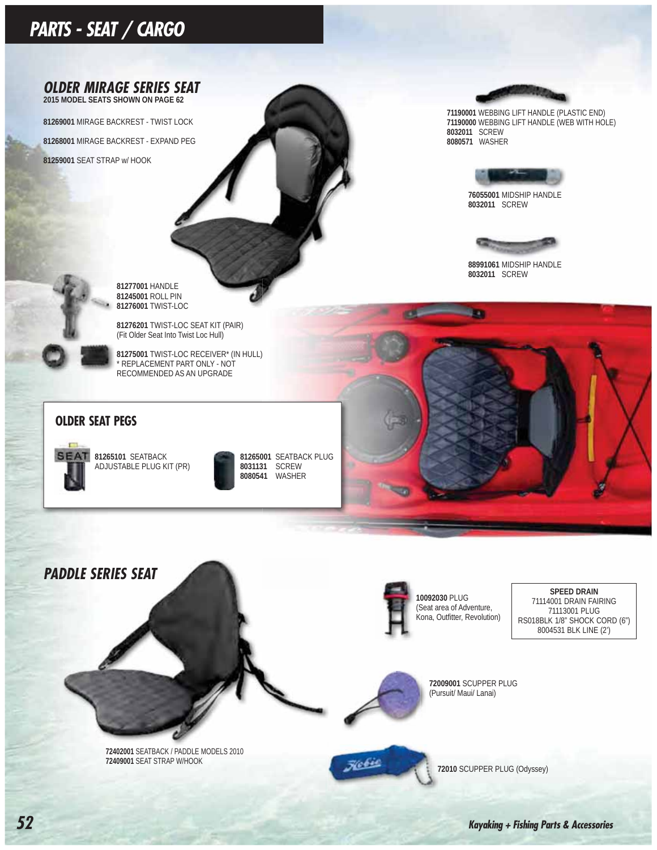# *PARTS - SEAT / CARGO*



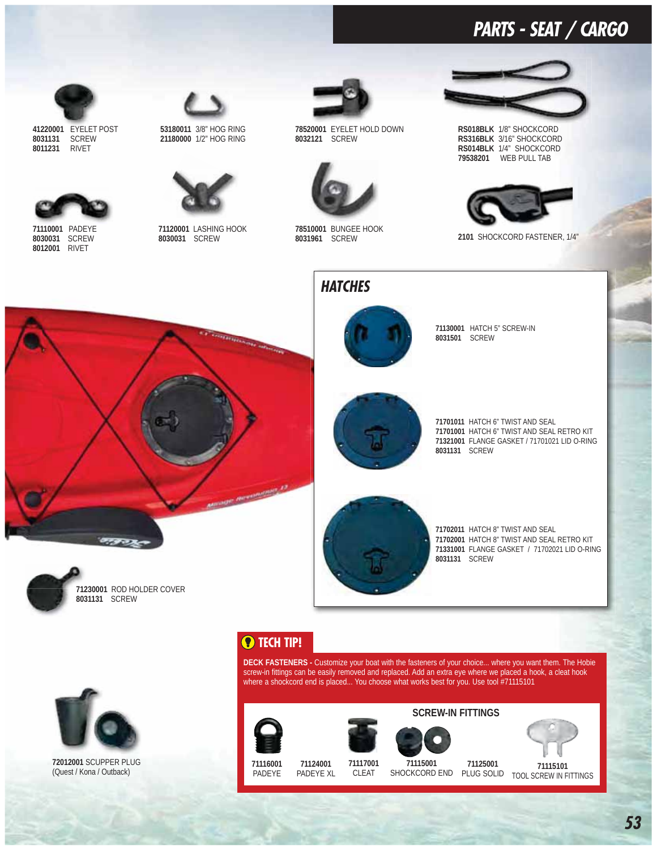### *PARTS - SEAT / CARGO*



 EYELET POST SCREW RIVET



PADEYE SCREW RIVET



3/8" HOG RING 1/2" HOG RING



LASHING HOOK SCREW



 EYELET HOLD DOWN SCREW



 BUNGEE HOOK SCREW

*HATCHES*



**RS018BLK** 1/8" SHOCKCORD **RS316BLK** 3/16" SHOCKCORD **RS014BLK** 1/4" SHOCKCORD WEB PULL TAB



SHOCKCORD FASTENER, 1/4"





 HATCH 5" SCREW-IN SCREW

 HATCH 6" TWIST AND SEAL HATCH 6" TWIST AND SEAL RETRO KIT FLANGE GASKET / 71701021 LID O-RING SCREW



 HATCH 8" TWIST AND SEAL HATCH 8" TWIST AND SEAL RETRO KIT FLANGE GASKET / 71702021 LID O-RING SCREW



### **<sup>O</sup>** TECH TIP!

**DECK FASTENERS -** Customize your boat with the fasteners of your choice... where you want them. The Hobie screw-in fittings can be easily removed and replaced. Add an extra eye where we placed a hook, a cleat hook where a shockcord end is placed... You choose what works best for you. Use tool #71115101



 SCUPPER PLUG (Quest / Kona / Outback)

 PADEYE PADEYE XL







CLEAT  SHOCKCORD END PLUG SOLID TOOL SCREW IN FITTINGS